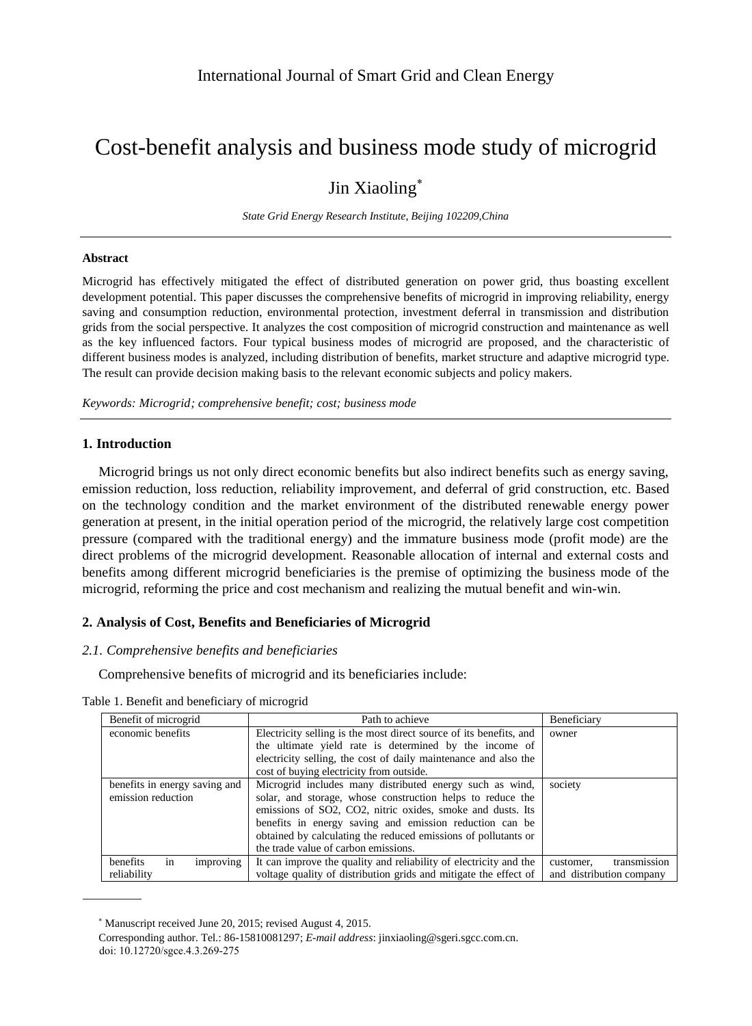# Cost-benefit analysis and business mode study of microgrid

# Jin Xiaoling<sup>\*</sup>

*State Grid Energy Research Institute, Beijing 102209,China*

#### **Abstract**

Microgrid has effectively mitigated the effect of distributed generation on power grid, thus boasting excellent development potential. This paper discusses the comprehensive benefits of microgrid in improving reliability, energy saving and consumption reduction, environmental protection, investment deferral in transmission and distribution grids from the social perspective. It analyzes the cost composition of microgrid construction and maintenance as well as the key influenced factors. Four typical business modes of microgrid are proposed, and the characteristic of different business modes is analyzed, including distribution of benefits, market structure and adaptive microgrid type. The result can provide decision making basis to the relevant economic subjects and policy makers.

*Keywords: Microgrid; comprehensive benefit; cost; business mode*

### **1. Introduction**

Microgrid brings us not only direct economic benefits but also indirect benefits such as energy saving, emission reduction, loss reduction, reliability improvement, and deferral of grid construction, etc. Based on the technology condition and the market environment of the distributed renewable energy power generation at present, in the initial operation period of the microgrid, the relatively large cost competition pressure (compared with the traditional energy) and the immature business mode (profit mode) are the direct problems of the microgrid development. Reasonable allocation of internal and external costs and benefits among different microgrid beneficiaries is the premise of optimizing the business mode of the microgrid, reforming the price and cost mechanism and realizing the mutual benefit and win-win.

# **2. Analysis of Cost, Benefits and Beneficiaries of Microgrid**

### *2.1. Comprehensive benefits and beneficiaries*

Comprehensive benefits of microgrid and its beneficiaries include:

| Benefit of microgrid                                           | Path to achieve                                                    | Beneficiary               |
|----------------------------------------------------------------|--------------------------------------------------------------------|---------------------------|
| economic benefits                                              | Electricity selling is the most direct source of its benefits, and | owner                     |
|                                                                | the ultimate yield rate is determined by the income of             |                           |
|                                                                | electricity selling, the cost of daily maintenance and also the    |                           |
|                                                                | cost of buying electricity from outside.                           |                           |
| benefits in energy saving and                                  | Microgrid includes many distributed energy such as wind,           | society                   |
| emission reduction                                             | solar, and storage, whose construction helps to reduce the         |                           |
|                                                                | emissions of SO2, CO2, nitric oxides, smoke and dusts. Its         |                           |
|                                                                | benefits in energy saving and emission reduction can be            |                           |
| obtained by calculating the reduced emissions of pollutants or |                                                                    |                           |
|                                                                | the trade value of carbon emissions.                               |                           |
| improving<br>benefits<br>1n                                    | It can improve the quality and reliability of electricity and the  | transmission<br>customer. |
| reliability                                                    | voltage quality of distribution grids and mitigate the effect of   | and distribution company  |

Table 1. Benefit and beneficiary of microgrid

Manuscript received June 20, 2015; revised August 4, 2015.

Corresponding author. Tel.: 86-15810081297; *E-mail address*: jinxiaoling@sgeri.sgcc.com.cn. doi: 10.12720/sgce.4.3.269-275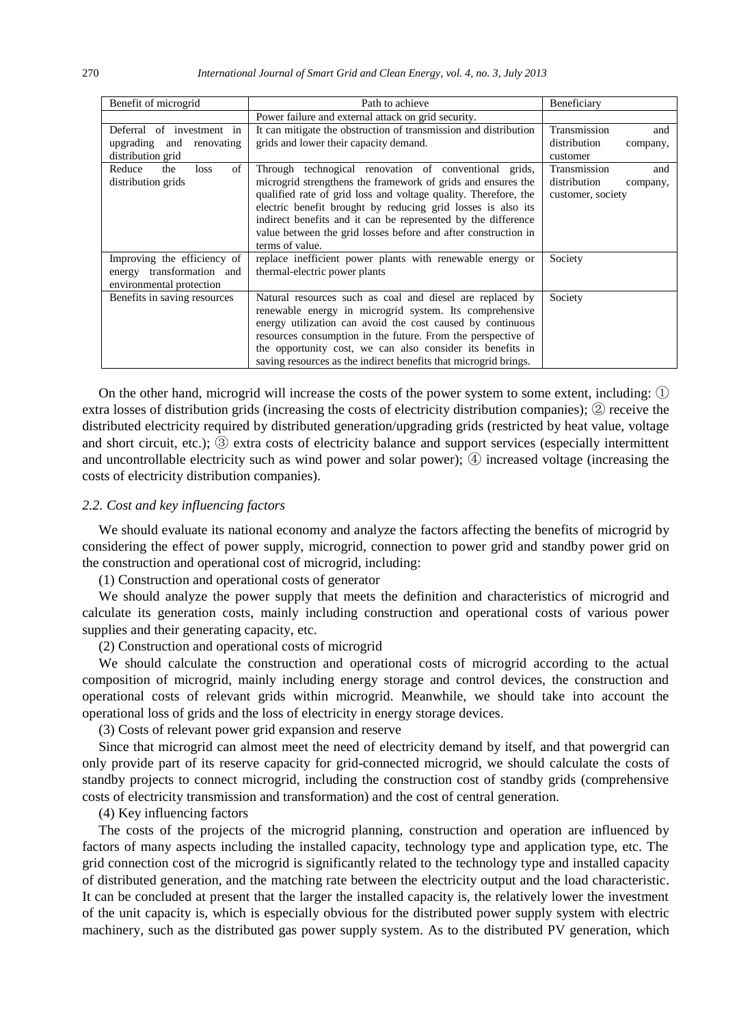| Benefit of microgrid                                                                 | Path to achieve                                                                                                                                                                                                                                                                                                                                                                                                | Beneficiary                                                          |
|--------------------------------------------------------------------------------------|----------------------------------------------------------------------------------------------------------------------------------------------------------------------------------------------------------------------------------------------------------------------------------------------------------------------------------------------------------------------------------------------------------------|----------------------------------------------------------------------|
|                                                                                      | Power failure and external attack on grid security.                                                                                                                                                                                                                                                                                                                                                            |                                                                      |
| Deferral of investment in<br>upgrading and<br>renovating<br>distribution grid        | It can mitigate the obstruction of transmission and distribution<br>grids and lower their capacity demand.                                                                                                                                                                                                                                                                                                     | Transmission<br>and<br>distribution<br>company,<br>customer          |
| of<br>Reduce<br>the<br>loss<br>distribution grids                                    | Through technogical renovation of conventional grids,<br>microgrid strengthens the framework of grids and ensures the<br>qualified rate of grid loss and voltage quality. Therefore, the<br>electric benefit brought by reducing grid losses is also its<br>indirect benefits and it can be represented by the difference<br>value between the grid losses before and after construction in<br>terms of value. | Transmission<br>and<br>distribution<br>company,<br>customer, society |
| Improving the efficiency of<br>energy transformation and<br>environmental protection | replace inefficient power plants with renewable energy or<br>thermal-electric power plants                                                                                                                                                                                                                                                                                                                     | Society                                                              |
| Benefits in saving resources                                                         | Natural resources such as coal and diesel are replaced by<br>renewable energy in microgrid system. Its comprehensive<br>energy utilization can avoid the cost caused by continuous<br>resources consumption in the future. From the perspective of<br>the opportunity cost, we can also consider its benefits in<br>saving resources as the indirect benefits that microgrid brings.                           | Society                                                              |

On the other hand, microgrid will increase the costs of the power system to some extent, including: ① extra losses of distribution grids (increasing the costs of electricity distribution companies); ② receive the distributed electricity required by distributed generation/upgrading grids (restricted by heat value, voltage and short circuit, etc.); ③ extra costs of electricity balance and support services (especially intermittent and uncontrollable electricity such as wind power and solar power); ④ increased voltage (increasing the costs of electricity distribution companies).

#### *2.2. Cost and key influencing factors*

We should evaluate its national economy and analyze the factors affecting the benefits of microgrid by considering the effect of power supply, microgrid, connection to power grid and standby power grid on the construction and operational cost of microgrid, including:

(1) Construction and operational costs of generator

We should analyze the power supply that meets the definition and characteristics of microgrid and calculate its generation costs, mainly including construction and operational costs of various power supplies and their generating capacity, etc.

(2) Construction and operational costs of microgrid

We should calculate the construction and operational costs of microgrid according to the actual composition of microgrid, mainly including energy storage and control devices, the construction and operational costs of relevant grids within microgrid. Meanwhile, we should take into account the operational loss of grids and the loss of electricity in energy storage devices.

(3) Costs of relevant power grid expansion and reserve

Since that microgrid can almost meet the need of electricity demand by itself, and that powergrid can only provide part of its reserve capacity for grid-connected microgrid, we should calculate the costs of standby projects to connect microgrid, including the construction cost of standby grids (comprehensive costs of electricity transmission and transformation) and the cost of central generation.

#### (4) Key influencing factors

The costs of the projects of the microgrid planning, construction and operation are influenced by factors of many aspects including the installed capacity, technology type and application type, etc. The grid connection cost of the microgrid is significantly related to the technology type and installed capacity of distributed generation, and the matching rate between the electricity output and the load characteristic. It can be concluded at present that the larger the installed capacity is, the relatively lower the investment of the unit capacity is, which is especially obvious for the distributed power supply system with electric machinery, such as the distributed gas power supply system. As to the distributed PV generation, which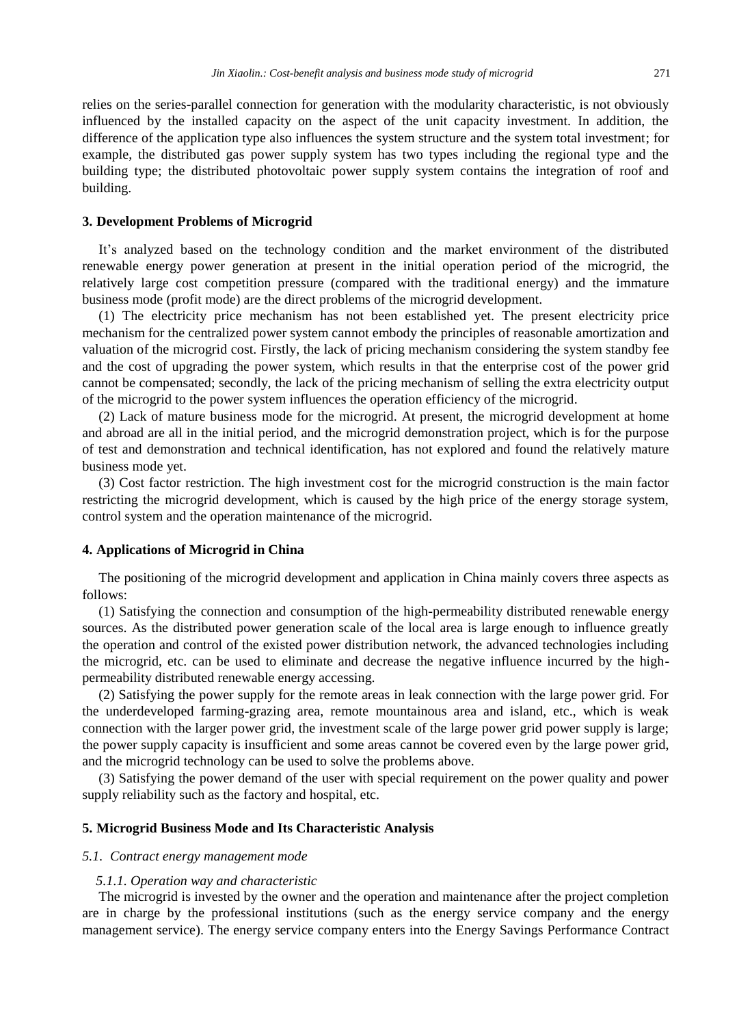relies on the series-parallel connection for generation with the modularity characteristic, is not obviously influenced by the installed capacity on the aspect of the unit capacity investment. In addition, the difference of the application type also influences the system structure and the system total investment; for example, the distributed gas power supply system has two types including the regional type and the building type; the distributed photovoltaic power supply system contains the integration of roof and building.

# **3. Development Problems of Microgrid**

It's analyzed based on the technology condition and the market environment of the distributed renewable energy power generation at present in the initial operation period of the microgrid, the relatively large cost competition pressure (compared with the traditional energy) and the immature business mode (profit mode) are the direct problems of the microgrid development.

(1) The electricity price mechanism has not been established yet. The present electricity price mechanism for the centralized power system cannot embody the principles of reasonable amortization and valuation of the microgrid cost. Firstly, the lack of pricing mechanism considering the system standby fee and the cost of upgrading the power system, which results in that the enterprise cost of the power grid cannot be compensated; secondly, the lack of the pricing mechanism of selling the extra electricity output of the microgrid to the power system influences the operation efficiency of the microgrid.

(2) Lack of mature business mode for the microgrid. At present, the microgrid development at home and abroad are all in the initial period, and the microgrid demonstration project, which is for the purpose of test and demonstration and technical identification, has not explored and found the relatively mature business mode yet.

(3) Cost factor restriction. The high investment cost for the microgrid construction is the main factor restricting the microgrid development, which is caused by the high price of the energy storage system, control system and the operation maintenance of the microgrid.

### **4. Applications of Microgrid in China**

The positioning of the microgrid development and application in China mainly covers three aspects as follows:

(1) Satisfying the connection and consumption of the high-permeability distributed renewable energy sources. As the distributed power generation scale of the local area is large enough to influence greatly the operation and control of the existed power distribution network, the advanced technologies including the microgrid, etc. can be used to eliminate and decrease the negative influence incurred by the highpermeability distributed renewable energy accessing.

(2) Satisfying the power supply for the remote areas in leak connection with the large power grid. For the underdeveloped farming-grazing area, remote mountainous area and island, etc., which is weak connection with the larger power grid, the investment scale of the large power grid power supply is large; the power supply capacity is insufficient and some areas cannot be covered even by the large power grid, and the microgrid technology can be used to solve the problems above.

(3) Satisfying the power demand of the user with special requirement on the power quality and power supply reliability such as the factory and hospital, etc.

#### **5. Microgrid Business Mode and Its Characteristic Analysis**

# *5.1. Contract energy management mode*

#### *5.1.1. Operation way and characteristic*

The microgrid is invested by the owner and the operation and maintenance after the project completion are in charge by the professional institutions (such as the energy service company and the energy management service). The energy service company enters into the Energy Savings Performance Contract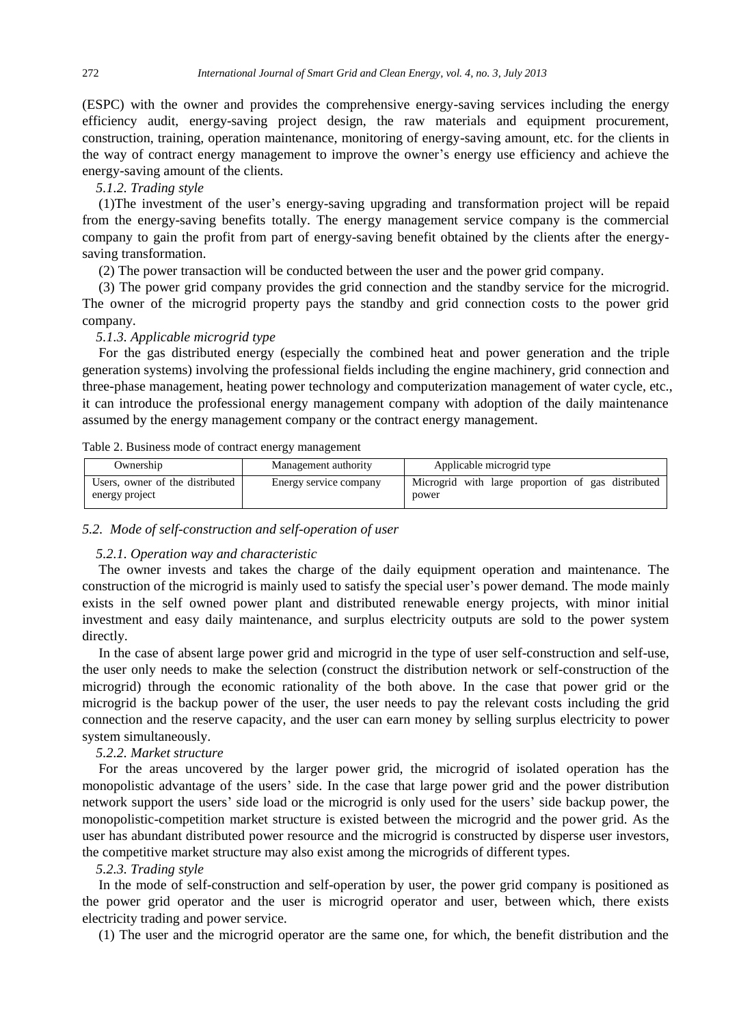(ESPC) with the owner and provides the comprehensive energy-saving services including the energy efficiency audit, energy-saving project design, the raw materials and equipment procurement, construction, training, operation maintenance, monitoring of energy-saving amount, etc. for the clients in the way of contract energy management to improve the owner's energy use efficiency and achieve the energy-saving amount of the clients.

*5.1.2. Trading style*

(1)The investment of the user's energy-saving upgrading and transformation project will be repaid from the energy-saving benefits totally. The energy management service company is the commercial company to gain the profit from part of energy-saving benefit obtained by the clients after the energysaving transformation.

(2) The power transaction will be conducted between the user and the power grid company.

(3) The power grid company provides the grid connection and the standby service for the microgrid. The owner of the microgrid property pays the standby and grid connection costs to the power grid company.

*5.1.3. Applicable microgrid type*

For the gas distributed energy (especially the combined heat and power generation and the triple generation systems) involving the professional fields including the engine machinery, grid connection and three-phase management, heating power technology and computerization management of water cycle, etc., it can introduce the professional energy management company with adoption of the daily maintenance assumed by the energy management company or the contract energy management.

| Ownership                                         | Management authority   | Applicable microgrid type                                   |
|---------------------------------------------------|------------------------|-------------------------------------------------------------|
| Users, owner of the distributed<br>energy project | Energy service company | Microgrid with large proportion of gas distributed<br>power |

Table 2. Business mode of contract energy management

#### *5.2. Mode of self-construction and self-operation of user*

#### *5.2.1. Operation way and characteristic*

The owner invests and takes the charge of the daily equipment operation and maintenance. The construction of the microgrid is mainly used to satisfy the special user's power demand. The mode mainly exists in the self owned power plant and distributed renewable energy projects, with minor initial investment and easy daily maintenance, and surplus electricity outputs are sold to the power system directly.

In the case of absent large power grid and microgrid in the type of user self-construction and self-use, the user only needs to make the selection (construct the distribution network or self-construction of the microgrid) through the economic rationality of the both above. In the case that power grid or the microgrid is the backup power of the user, the user needs to pay the relevant costs including the grid connection and the reserve capacity, and the user can earn money by selling surplus electricity to power system simultaneously.

# *5.2.2. Market structure*

For the areas uncovered by the larger power grid, the microgrid of isolated operation has the monopolistic advantage of the users' side. In the case that large power grid and the power distribution network support the users' side load or the microgrid is only used for the users' side backup power, the monopolistic-competition market structure is existed between the microgrid and the power grid. As the user has abundant distributed power resource and the microgrid is constructed by disperse user investors, the competitive market structure may also exist among the microgrids of different types.

#### *5.2.3. Trading style*

In the mode of self-construction and self-operation by user, the power grid company is positioned as the power grid operator and the user is microgrid operator and user, between which, there exists electricity trading and power service.

(1) The user and the microgrid operator are the same one, for which, the benefit distribution and the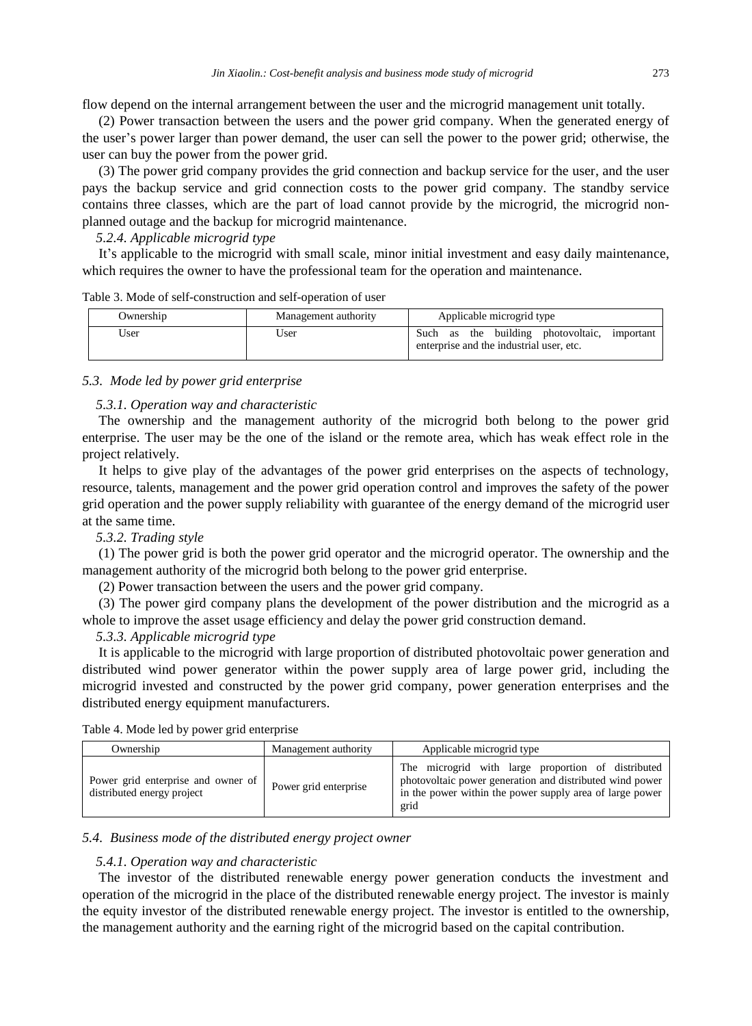flow depend on the internal arrangement between the user and the microgrid management unit totally.

(2) Power transaction between the users and the power grid company. When the generated energy of the user's power larger than power demand, the user can sell the power to the power grid; otherwise, the user can buy the power from the power grid.

(3) The power grid company provides the grid connection and backup service for the user, and the user pays the backup service and grid connection costs to the power grid company. The standby service contains three classes, which are the part of load cannot provide by the microgrid, the microgrid nonplanned outage and the backup for microgrid maintenance.

# *5.2.4. Applicable microgrid type*

It's applicable to the microgrid with small scale, minor initial investment and easy daily maintenance, which requires the owner to have the professional team for the operation and maintenance.

| Table 3. Mode of self-construction and self-operation of user |  |
|---------------------------------------------------------------|--|
|---------------------------------------------------------------|--|

| Ownership | Management authority | Applicable microgrid type                                                                   |
|-----------|----------------------|---------------------------------------------------------------------------------------------|
| User      | User                 | Such as the building photovoltaic,<br>important<br>enterprise and the industrial user, etc. |

# *5.3. Mode led by power grid enterprise*

# *5.3.1. Operation way and characteristic*

The ownership and the management authority of the microgrid both belong to the power grid enterprise. The user may be the one of the island or the remote area, which has weak effect role in the project relatively.

It helps to give play of the advantages of the power grid enterprises on the aspects of technology, resource, talents, management and the power grid operation control and improves the safety of the power grid operation and the power supply reliability with guarantee of the energy demand of the microgrid user at the same time.

# *5.3.2. Trading style*

(1) The power grid is both the power grid operator and the microgrid operator. The ownership and the management authority of the microgrid both belong to the power grid enterprise.

(2) Power transaction between the users and the power grid company.

(3) The power gird company plans the development of the power distribution and the microgrid as a whole to improve the asset usage efficiency and delay the power grid construction demand.

# *5.3.3. Applicable microgrid type*

It is applicable to the microgrid with large proportion of distributed photovoltaic power generation and distributed wind power generator within the power supply area of large power grid, including the microgrid invested and constructed by the power grid company, power generation enterprises and the distributed energy equipment manufacturers.

|  |  |  |  |  |  |  | Table 4. Mode led by power grid enterprise |
|--|--|--|--|--|--|--|--------------------------------------------|
|--|--|--|--|--|--|--|--------------------------------------------|

| Ownership                                                        | Management authority  | Applicable microgrid type                                                                                                                                                          |
|------------------------------------------------------------------|-----------------------|------------------------------------------------------------------------------------------------------------------------------------------------------------------------------------|
| Power grid enterprise and owner of<br>distributed energy project | Power grid enterprise | The microgrid with large proportion of distributed<br>photovoltaic power generation and distributed wind power<br>in the power within the power supply area of large power<br>grid |

# *5.4. Business mode of the distributed energy project owner*

# *5.4.1. Operation way and characteristic*

The investor of the distributed renewable energy power generation conducts the investment and operation of the microgrid in the place of the distributed renewable energy project. The investor is mainly the equity investor of the distributed renewable energy project. The investor is entitled to the ownership, the management authority and the earning right of the microgrid based on the capital contribution.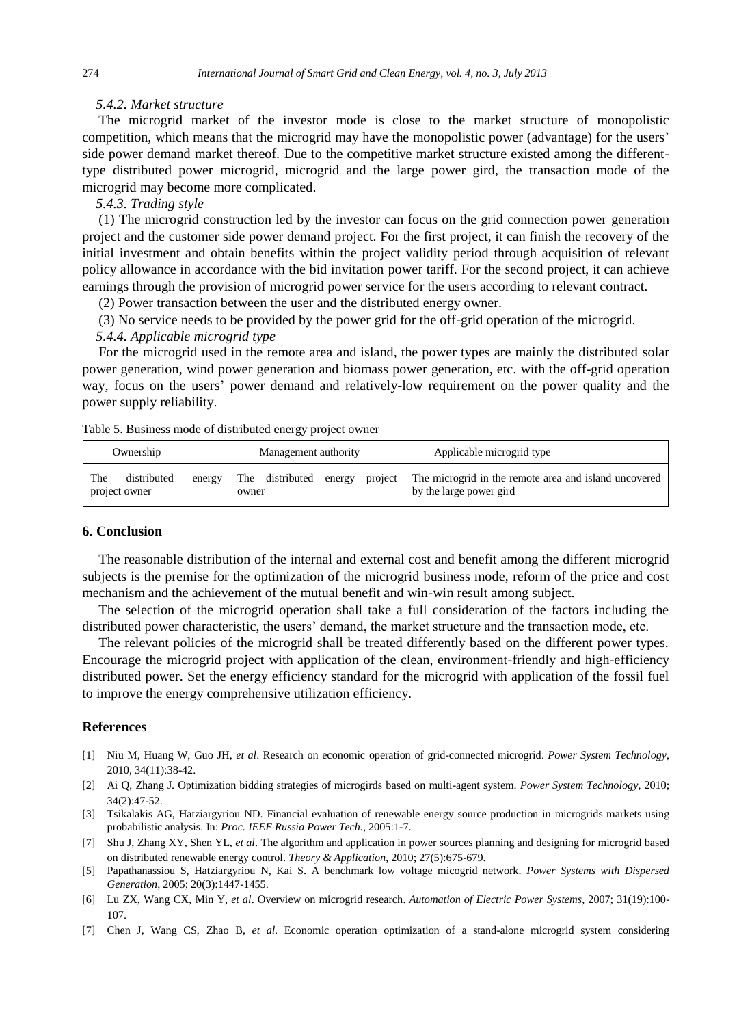# *5.4.2. Market structure*

The microgrid market of the investor mode is close to the market structure of monopolistic competition, which means that the microgrid may have the monopolistic power (advantage) for the users' side power demand market thereof. Due to the competitive market structure existed among the differenttype distributed power microgrid, microgrid and the large power gird, the transaction mode of the microgrid may become more complicated.

*5.4.3. Trading style*

(1) The microgrid construction led by the investor can focus on the grid connection power generation project and the customer side power demand project. For the first project, it can finish the recovery of the initial investment and obtain benefits within the project validity period through acquisition of relevant policy allowance in accordance with the bid invitation power tariff. For the second project, it can achieve earnings through the provision of microgrid power service for the users according to relevant contract.

(2) Power transaction between the user and the distributed energy owner.

(3) No service needs to be provided by the power grid for the off-grid operation of the microgrid.

#### *5.4.4. Applicable microgrid type*

For the microgrid used in the remote area and island, the power types are mainly the distributed solar power generation, wind power generation and biomass power generation, etc. with the off-grid operation way, focus on the users' power demand and relatively-low requirement on the power quality and the power supply reliability.

| Table 5. Business mode of distributed energy project owner |  |
|------------------------------------------------------------|--|
|------------------------------------------------------------|--|

| Ownership                                     | Management authority               | Applicable microgrid type                                                                |
|-----------------------------------------------|------------------------------------|------------------------------------------------------------------------------------------|
| The<br>distributed<br>energy<br>project owner | The distributed<br>energy<br>owner | project The microgrid in the remote area and island uncovered<br>by the large power gird |

# **6. Conclusion**

The reasonable distribution of the internal and external cost and benefit among the different microgrid subjects is the premise for the optimization of the microgrid business mode, reform of the price and cost mechanism and the achievement of the mutual benefit and win-win result among subject.

The selection of the microgrid operation shall take a full consideration of the factors including the distributed power characteristic, the users' demand, the market structure and the transaction mode, etc.

The relevant policies of the microgrid shall be treated differently based on the different power types. Encourage the microgrid project with application of the clean, environment-friendly and high-efficiency distributed power. Set the energy efficiency standard for the microgrid with application of the fossil fuel to improve the energy comprehensive utilization efficiency.

# **References**

- [1] Niu M, Huang W, Guo JH, *et al*. Research on economic operation of grid-connected microgrid. *Power System Technology*, 2010, 34(11):38-42.
- [2] Ai Q, Zhang J. Optimization bidding strategies of microgirds based on multi-agent system. *Power System Technology*, 2010; 34(2):47-52.
- [3] Tsikalakis AG, Hatziargyriou ND. Financial evaluation of renewable energy source production in microgrids markets using probabilistic analysis. In: *Proc. [IEEE Russia P](http://ieeexplore.ieee.org/xpl/mostRecentIssue.jsp?punumber=4488177)ower Tech.*, 2005:1-7.
- [7] Shu J, Zhang XY, Shen YL, *et al*. The algorithm and application in power sources planning and designing for microgrid based on distributed renewable energy control. *Theory & Application*, 2010; 27(5):675-679.
- [5] Papathanassiou S, [Hatziargyriou](http://xueshu.baidu.com/s?wd=author%3A%28Nikos%20Hatziargyriou%29%20&tn=SE_baiduxueshu_c1gjeupa&ie=utf-8&sc_f_para=sc_hilight%3Dperson) N, Kai S. A benchmark low voltage micogrid network. *Power Systems with Dispersed Generation*, 2005; 20(3):1447-1455.
- [6] Lu ZX, Wang CX, Min Y, *et al*. Overview on microgrid research. *Automation of Electric Power Systems*, 2007; 31(19):100- 107.
- [7] Chen J, Wang CS, Zhao B, *et al*. Economic operation optimization of a stand-alone microgrid system considering